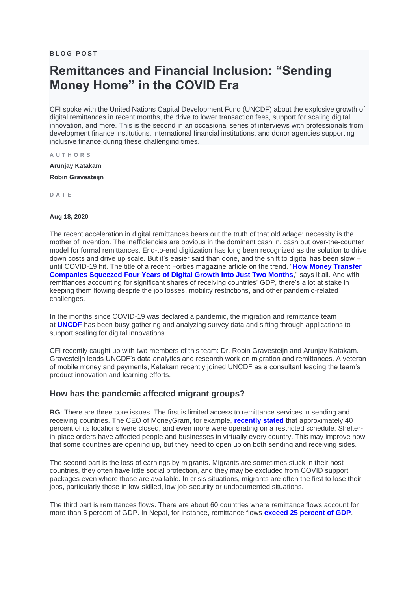**B L O G P O S T**

# **Remittances and Financial Inclusion: "Sending Money Home" in the COVID Era**

CFI spoke with the United Nations Capital Development Fund (UNCDF) about the explosive growth of digital remittances in recent months, the drive to lower transaction fees, support for scaling digital innovation, and more. This is the second in an occasional series of interviews with professionals from development finance institutions, international financial institutions, and donor agencies supporting inclusive finance during these challenging times.

**A U T H O R S**

**[Arunjay Katakam](https://www.centerforfinancialinclusion.org/bio/arunjay-katakam) [Robin Gravesteijn](https://www.centerforfinancialinclusion.org/bio/robin-gravesteijn)**

**D A T E**

#### **Aug 18, 2020**

The recent acceleration in digital remittances bears out the truth of that old adage: necessity is the mother of invention. The inefficiencies are obvious in the dominant cash in, cash out over-the-counter model for formal remittances. End-to-end digitization has long been recognized as the solution to drive down costs and drive up scale. But it's easier said than done, and the shift to digital has been slow – until COVID-19 hit. The title of a recent Forbes magazine article on the trend, "**[How Money Transfer](https://www.forbes.com/sites/danielwebber/2020/05/28/how-money-transfer-companies-squeezed-four-years-of-digital-growth-into-just-two-months/#6d10135ca7b6)  [Companies Squeezed Four Years of Digital Growth Into Just Two Months](https://www.forbes.com/sites/danielwebber/2020/05/28/how-money-transfer-companies-squeezed-four-years-of-digital-growth-into-just-two-months/#6d10135ca7b6)**," says it all. And with remittances accounting for significant shares of receiving countries' GDP, there's a lot at stake in keeping them flowing despite the job losses, mobility restrictions, and other pandemic-related challenges.

In the months since COVID-19 was declared a pandemic, the migration and remittance team at **[UNCDF](https://www.uncdf.org/article/5606/covid-19-changing-the-landscape-for-migrants-and-remittances)** has been busy gathering and analyzing survey data and sifting through applications to support scaling for digital innovations.

CFI recently caught up with two members of this team: Dr. Robin Gravesteijn and Arunjay Katakam. Gravesteijn leads UNCDF's data analytics and research work on migration and remittances. A veteran of mobile money and payments, Katakam recently joined UNCDF as a consultant leading the team's product innovation and learning efforts.

#### **How has the pandemic affected migrant groups?**

**RG**: There are three core issues. The first is limited access to remittance services in sending and receiving countries. The CEO of MoneyGram, for example, **[recently stated](https://www.stripes.com/news/us/lockdown-disrupts-a-part-of-finance-that-hasn-t-gone-digital-1.629307)** that approximately 40 percent of its locations were closed, and even more were operating on a restricted schedule. Shelterin-place orders have affected people and businesses in virtually every country. This may improve now that some countries are opening up, but they need to open up on both sending and receiving sides.

The second part is the loss of earnings by migrants. Migrants are sometimes stuck in their host countries, they often have little social protection, and they may be excluded from COVID support packages even where those are available. In crisis situations, migrants are often the first to lose their jobs, particularly those in low-skilled, low job-security or undocumented situations.

The third part is remittances flows. There are about 60 countries where remittance flows account for more than 5 percent of GDP. In Nepal, for instance, remittance flows **[exceed 25 percent of GDP](https://fred.stlouisfed.org/series/DDOI11NPA156NWDB)**.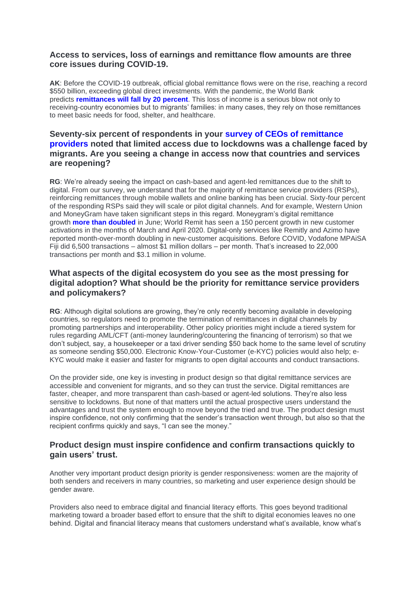# **Access to services, loss of earnings and remittance flow amounts are three core issues during COVID-19.**

**AK**: Before the COVID-19 outbreak, official global remittance flows were on the rise, reaching a record \$550 billion, exceeding global direct investments. With the pandemic, the World Bank predicts **remittances will fall by 20 percent**. This loss of income is a serious blow not only to receiving-country economies but to migrants' families: in many cases, they rely on those remittances to meet basic needs for food, shelter, and healthcare.

# **Seventy-six percent of respondents in your survey of CEOs of remittance providers noted that limited access due to lockdowns was a challenge faced by migrants. Are you seeing a change in access now that countries and services are reopening?**

**RG**: We're already seeing the impact on cash-based and agent-led remittances due to the shift to digital. From our survey, we understand that for the majority of remittance service providers (RSPs), reinforcing remittances through mobile wallets and online banking has been crucial. Sixty-four percent of the responding RSPs said they will scale or pilot digital channels. And for example, Western Union and MoneyGram have taken significant steps in this regard. Moneygram's digital remittance growth **more than doubled** in June; World Remit has seen a 150 percent growth in new customer activations in the months of March and April 2020. Digital-only services like Remitly and Azimo have reported month-over-month doubling in new-customer acquisitions. Before COVID, Vodafone MPAiSA Fiji did 6,500 transactions – almost \$1 million dollars – per month. That's increased to 22,000 transactions per month and \$3.1 million in volume.

# **What aspects of the digital ecosystem do you see as the most pressing for digital adoption? What should be the priority for remittance service providers and policymakers?**

**RG**: Although digital solutions are growing, they're only recently becoming available in developing countries, so regulators need to promote the termination of remittances in digital channels by promoting partnerships and interoperability. Other policy priorities might include a tiered system for rules regarding AML/CFT (anti-money laundering/countering the financing of terrorism) so that we don't subject, say, a housekeeper or a taxi driver sending \$50 back home to the same level of scrutiny as someone sending \$50,000. Electronic Know-Your-Customer (e-KYC) policies would also help; e-KYC would make it easier and faster for migrants to open digital accounts and conduct transactions.

On the provider side, one key is investing in product design so that digital remittance services are accessible and convenient for migrants, and so they can trust the service. Digital remittances are faster, cheaper, and more transparent than cash-based or agent-led solutions. They're also less sensitive to lockdowns. But none of that matters until the actual prospective users understand the advantages and trust the system enough to move beyond the tried and true. The product design must inspire confidence, not only confirming that the sender's transaction went through, but also so that the recipient confirms quickly and says, "I can see the money."

# **Product design must inspire confidence and confirm transactions quickly to gain users' trust.**

Another very important product design priority is gender responsiveness: women are the majority of both senders and receivers in many countries, so marketing and user experience design should be gender aware.

Providers also need to embrace digital and financial literacy efforts. This goes beyond traditional marketing toward a broader based effort to ensure that the shift to digital economies leaves no one behind. Digital and financial literacy means that customers understand what's available, know what's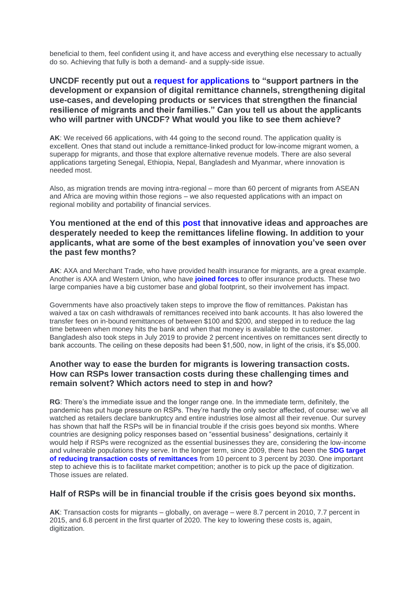beneficial to them, feel confident using it, and have access and everything else necessary to actually do so. Achieving that fully is both a demand- and a supply-side issue.

# **UNCDF recently put out a request for applications to "support partners in the development or expansion of digital remittance channels, strengthening digital use-cases, and developing products or services that strengthen the financial resilience of migrants and their families." Can you tell us about the applicants who will partner with UNCDF? What would you like to see them achieve?**

**AK**: We received 66 applications, with 44 going to the second round. The application quality is excellent. Ones that stand out include a remittance-linked product for low-income migrant women, a superapp for migrants, and those that explore alternative revenue models. There are also several applications targeting Senegal, Ethiopia, Nepal, Bangladesh and Myanmar, where innovation is needed most.

Also, as migration trends are moving intra-regional – more than 60 percent of migrants from ASEAN and Africa are moving within those regions – we also requested applications with an impact on regional mobility and portability of financial services.

### **You mentioned at the end of this post that innovative ideas and approaches are desperately needed to keep the remittances lifeline flowing. In addition to your applicants, what are some of the best examples of innovation you've seen over the past few months?**

**AK**: AXA and Merchant Trade, who have provided health insurance for migrants, are a great example. Another is AXA and Western Union, who have **joined forces** to offer insurance products. These two large companies have a big customer base and global footprint, so their involvement has impact.

Governments have also proactively taken steps to improve the flow of remittances. Pakistan has waived a tax on cash withdrawals of remittances received into bank accounts. It has also lowered the transfer fees on in-bound remittances of between \$100 and \$200, and stepped in to reduce the lag time between when money hits the bank and when that money is available to the customer. Bangladesh also took steps in July 2019 to provide 2 percent incentives on remittances sent directly to bank accounts. The ceiling on these deposits had been \$1,500, now, in light of the crisis, it's \$5,000.

# **Another way to ease the burden for migrants is lowering transaction costs. How can RSPs lower transaction costs during these challenging times and remain solvent? Which actors need to step in and how?**

**RG**: There's the immediate issue and the longer range one. In the immediate term, definitely, the pandemic has put huge pressure on RSPs. They're hardly the only sector affected, of course: we've all watched as retailers declare bankruptcy and entire industries lose almost all their revenue. Our survey has shown that half the RSPs will be in financial trouble if the crisis goes beyond six months. Where countries are designing policy responses based on "essential business" designations, certainly it would help if RSPs were recognized as the essential businesses they are, considering the low-income and vulnerable populations they serve. In the longer term, since 2009, there has been the **SDG target of reducing transaction costs of remittances** from 10 percent to 3 percent by 2030. One important step to achieve this is to facilitate market competition; another is to pick up the pace of digitization. Those issues are related.

#### **Half of RSPs will be in financial trouble if the crisis goes beyond six months.**

**AK**: Transaction costs for migrants – globally, on average – were 8.7 percent in 2010, 7.7 percent in 2015, and 6.8 percent in the first quarter of 2020. The key to lowering these costs is, again, digitization.